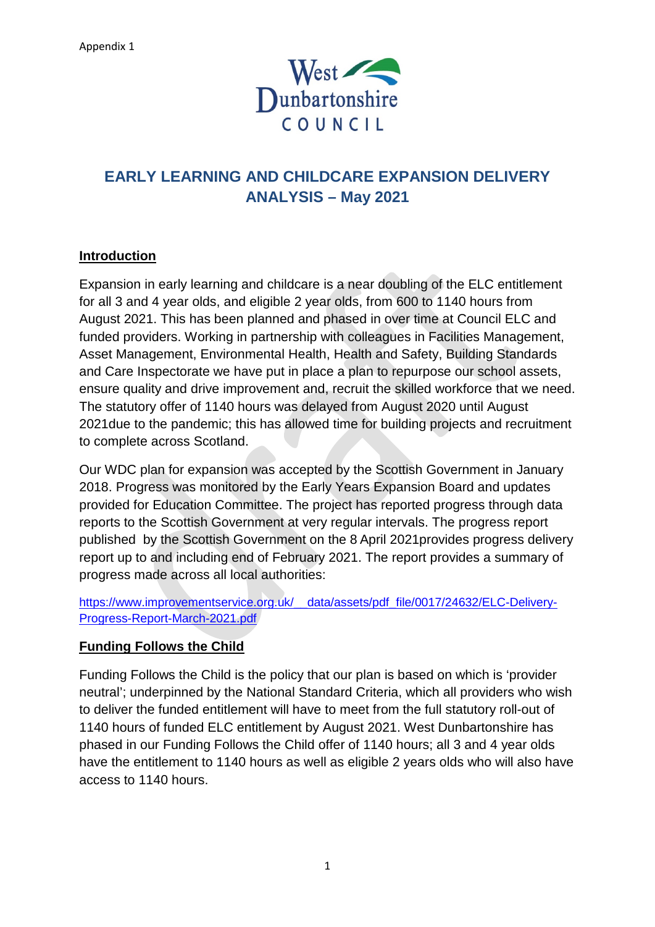

# **EARLY LEARNING AND CHILDCARE EXPANSION DELIVERY ANALYSIS – May 2021**

## **Introduction**

Expansion in early learning and childcare is a near doubling of the ELC entitlement for all 3 and 4 year olds, and eligible 2 year olds, from 600 to 1140 hours from August 2021. This has been planned and phased in over time at Council ELC and funded providers. Working in partnership with colleagues in Facilities Management, Asset Management, Environmental Health, Health and Safety, Building Standards and Care Inspectorate we have put in place a plan to repurpose our school assets, ensure quality and drive improvement and, recruit the skilled workforce that we need. The statutory offer of 1140 hours was delayed from August 2020 until August 2021due to the pandemic; this has allowed time for building projects and recruitment to complete across Scotland.

Our WDC plan for expansion was accepted by the Scottish Government in January 2018. Progress was monitored by the Early Years Expansion Board and updates provided for Education Committee. The project has reported progress through data reports to the Scottish Government at very regular intervals. The progress report published by the Scottish Government on the 8 April 2021provides progress delivery report up to and including end of February 2021. The report provides a summary of progress made across all local authorities:

https://www.improvementservice.org.uk/ data/assets/pdf file/0017/24632/ELC-Delivery-[Progress-Report-March-2021.pdf](https://www.improvementservice.org.uk/__data/assets/pdf_file/0017/24632/ELC-Delivery-Progress-Report-March-2021.pdf)

## **Funding Follows the Child**

Funding Follows the Child is the policy that our plan is based on which is 'provider neutral'; underpinned by the National Standard Criteria, which all providers who wish to deliver the funded entitlement will have to meet from the full statutory roll-out of 1140 hours of funded ELC entitlement by August 2021. West Dunbartonshire has phased in our Funding Follows the Child offer of 1140 hours; all 3 and 4 year olds have the entitlement to 1140 hours as well as eligible 2 years olds who will also have access to 1140 hours.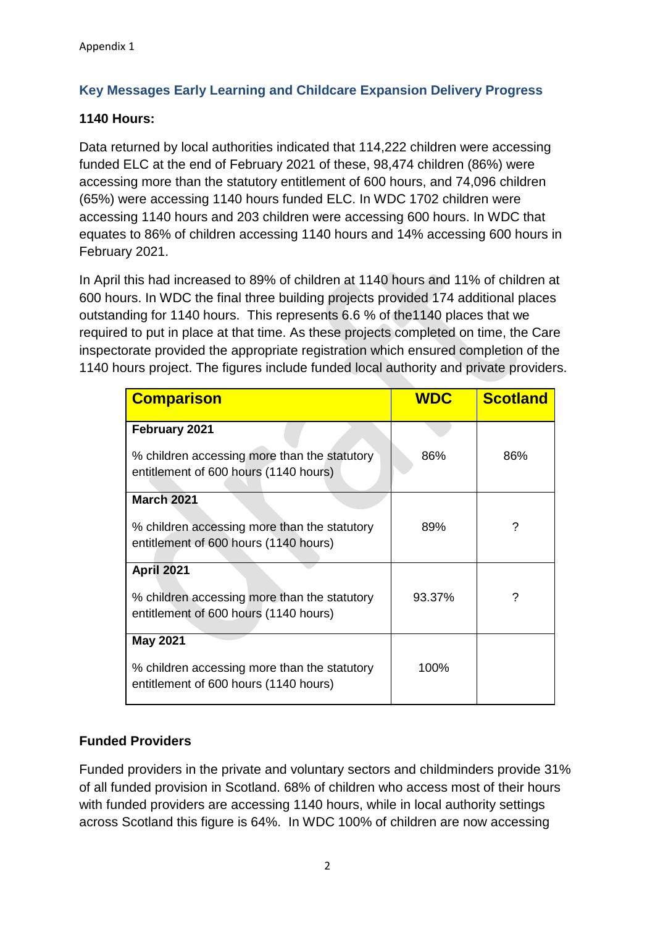# **Key Messages Early Learning and Childcare Expansion Delivery Progress**

## **1140 Hours:**

Data returned by local authorities indicated that 114,222 children were accessing funded ELC at the end of February 2021 of these, 98,474 children (86%) were accessing more than the statutory entitlement of 600 hours, and 74,096 children (65%) were accessing 1140 hours funded ELC. In WDC 1702 children were accessing 1140 hours and 203 children were accessing 600 hours. In WDC that equates to 86% of children accessing 1140 hours and 14% accessing 600 hours in February 2021.

In April this had increased to 89% of children at 1140 hours and 11% of children at 600 hours. In WDC the final three building projects provided 174 additional places outstanding for 1140 hours. This represents 6.6 % of the1140 places that we required to put in place at that time. As these projects completed on time, the Care inspectorate provided the appropriate registration which ensured completion of the 1140 hours project. The figures include funded local authority and private providers.

| <b>Comparison</b>                                                                     | <b>WDC</b> | <b>Scotland</b> |
|---------------------------------------------------------------------------------------|------------|-----------------|
| February 2021                                                                         |            |                 |
| % children accessing more than the statutory<br>entitlement of 600 hours (1140 hours) | 86%        | 86%             |
| <b>March 2021</b>                                                                     |            |                 |
| % children accessing more than the statutory<br>entitlement of 600 hours (1140 hours) | 89%        | ?               |
| <b>April 2021</b>                                                                     |            |                 |
| % children accessing more than the statutory<br>entitlement of 600 hours (1140 hours) | 93.37%     | ?               |
| <b>May 2021</b>                                                                       |            |                 |
| % children accessing more than the statutory<br>entitlement of 600 hours (1140 hours) | 100%       |                 |

# **Funded Providers**

Funded providers in the private and voluntary sectors and childminders provide 31% of all funded provision in Scotland. 68% of children who access most of their hours with funded providers are accessing 1140 hours, while in local authority settings across Scotland this figure is 64%. In WDC 100% of children are now accessing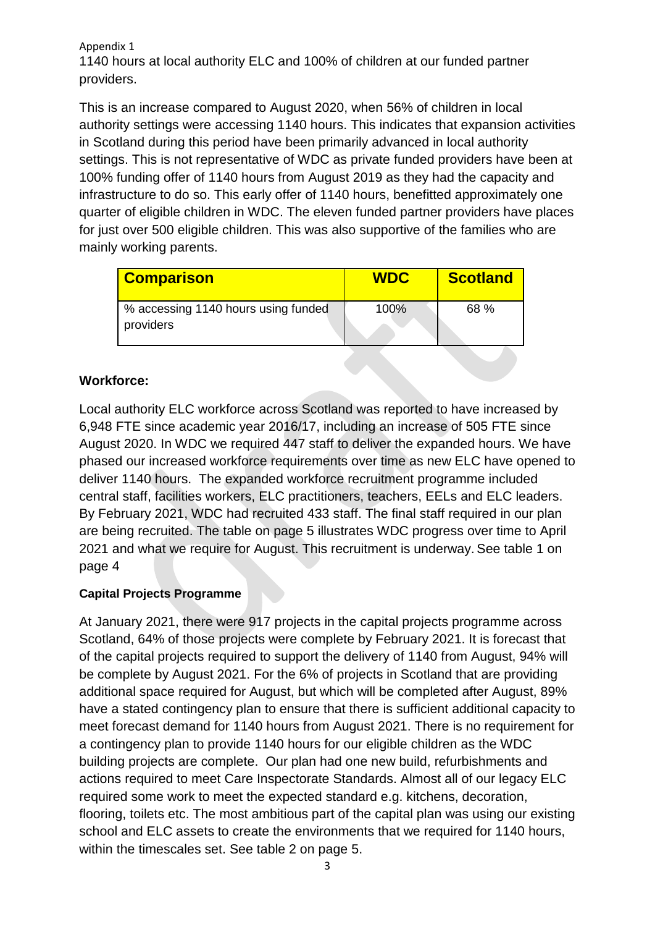#### Appendix 1

1140 hours at local authority ELC and 100% of children at our funded partner providers.

This is an increase compared to August 2020, when 56% of children in local authority settings were accessing 1140 hours. This indicates that expansion activities in Scotland during this period have been primarily advanced in local authority settings. This is not representative of WDC as private funded providers have been at 100% funding offer of 1140 hours from August 2019 as they had the capacity and infrastructure to do so. This early offer of 1140 hours, benefitted approximately one quarter of eligible children in WDC. The eleven funded partner providers have places for just over 500 eligible children. This was also supportive of the families who are mainly working parents.

| <b>Comparison</b>                   | <b>WDC</b> | <b>Scotland</b> |
|-------------------------------------|------------|-----------------|
| % accessing 1140 hours using funded | 100%       | 68 %            |
| providers                           |            |                 |

# **Workforce:**

Local authority ELC workforce across Scotland was reported to have increased by 6,948 FTE since academic year 2016/17, including an increase of 505 FTE since August 2020. In WDC we required 447 staff to deliver the expanded hours. We have phased our increased workforce requirements over time as new ELC have opened to deliver 1140 hours. The expanded workforce recruitment programme included central staff, facilities workers, ELC practitioners, teachers, EELs and ELC leaders. By February 2021, WDC had recruited 433 staff. The final staff required in our plan are being recruited. The table on page 5 illustrates WDC progress over time to April 2021 and what we require for August. This recruitment is underway. See table 1 on page 4

## **Capital Projects Programme**

At January 2021, there were 917 projects in the capital projects programme across Scotland, 64% of those projects were complete by February 2021. It is forecast that of the capital projects required to support the delivery of 1140 from August, 94% will be complete by August 2021. For the 6% of projects in Scotland that are providing additional space required for August, but which will be completed after August, 89% have a stated contingency plan to ensure that there is sufficient additional capacity to meet forecast demand for 1140 hours from August 2021. There is no requirement for a contingency plan to provide 1140 hours for our eligible children as the WDC building projects are complete. Our plan had one new build, refurbishments and actions required to meet Care Inspectorate Standards. Almost all of our legacy ELC required some work to meet the expected standard e.g. kitchens, decoration, flooring, toilets etc. The most ambitious part of the capital plan was using our existing school and ELC assets to create the environments that we required for 1140 hours, within the timescales set. See table 2 on page 5.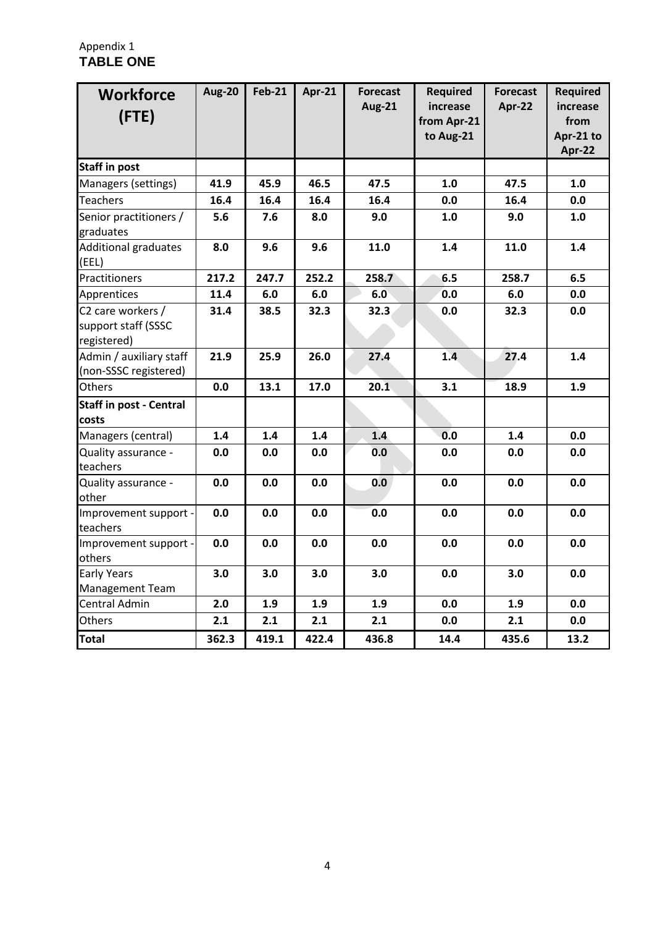## Appendix 1 **TABLE ONE**

| <b>Workforce</b><br>(FTE)                               | <b>Aug-20</b> | <b>Feb-21</b> | <b>Apr-21</b> | <b>Forecast</b><br><b>Aug-21</b> | <b>Required</b><br>increase<br>from Apr-21<br>to Aug-21 | <b>Forecast</b><br>Apr-22 | <b>Required</b><br>increase<br>from<br>Apr-21 to<br>Apr-22 |
|---------------------------------------------------------|---------------|---------------|---------------|----------------------------------|---------------------------------------------------------|---------------------------|------------------------------------------------------------|
| <b>Staff in post</b>                                    |               |               |               |                                  |                                                         |                           |                                                            |
| Managers (settings)                                     | 41.9          | 45.9          | 46.5          | 47.5                             | 1.0                                                     | 47.5                      | 1.0                                                        |
| <b>Teachers</b>                                         | 16.4          | 16.4          | 16.4          | 16.4                             | 0.0                                                     | 16.4                      | 0.0                                                        |
| Senior practitioners /<br>graduates                     | 5.6           | 7.6           | 8.0           | 9.0                              | 1.0                                                     | 9.0                       | 1.0                                                        |
| Additional graduates<br>(EEL)                           | 8.0           | 9.6           | 9.6           | 11.0                             | 1.4                                                     | 11.0                      | 1.4                                                        |
| Practitioners                                           | 217.2         | 247.7         | 252.2         | 258.7                            | 6.5                                                     | 258.7                     | 6.5                                                        |
| Apprentices                                             | 11.4          | 6.0           | 6.0           | 6.0                              | 0.0                                                     | 6.0                       | 0.0                                                        |
| C2 care workers /<br>support staff (SSSC<br>registered) | 31.4          | 38.5          | 32.3          | 32.3                             | 0.0                                                     | 32.3                      | 0.0                                                        |
| Admin / auxiliary staff<br>(non-SSSC registered)        | 21.9          | 25.9          | 26.0          | 27.4                             | 1.4                                                     | 27.4                      | 1.4                                                        |
| Others                                                  | 0.0           | 13.1          | 17.0          | 20.1                             | 3.1                                                     | 18.9                      | 1.9                                                        |
| <b>Staff in post - Central</b><br>costs                 |               |               |               |                                  |                                                         |                           |                                                            |
| Managers (central)                                      | 1.4           | 1.4           | 1.4           | 1.4                              | 0.0                                                     | 1.4                       | 0.0                                                        |
| Quality assurance -<br>teachers                         | 0.0           | 0.0           | 0.0           | 0.0                              | 0.0                                                     | 0.0                       | 0.0                                                        |
| Quality assurance -<br>other                            | 0.0           | 0.0           | 0.0           | 0.0                              | 0.0                                                     | 0.0                       | 0.0                                                        |
| Improvement support -<br>teachers                       | 0.0           | 0.0           | 0.0           | 0.0                              | 0.0                                                     | 0.0                       | 0.0                                                        |
| Improvement support -<br>others                         | 0.0           | 0.0           | 0.0           | 0.0                              | 0.0                                                     | 0.0                       | 0.0                                                        |
| <b>Early Years</b>                                      | 3.0           | 3.0           | 3.0           | 3.0                              | 0.0                                                     | 3.0                       | 0.0                                                        |
| <b>Management Team</b>                                  |               |               |               |                                  |                                                         |                           |                                                            |
| <b>Central Admin</b>                                    | 2.0           | 1.9           | 1.9           | 1.9                              | 0.0                                                     | 1.9                       | 0.0                                                        |
| <b>Others</b>                                           | 2.1           | 2.1           | 2.1           | 2.1                              | 0.0                                                     | 2.1                       | 0.0                                                        |
| <b>Total</b>                                            | 362.3         | 419.1         | 422.4         | 436.8                            | 14.4                                                    | 435.6                     | 13.2                                                       |